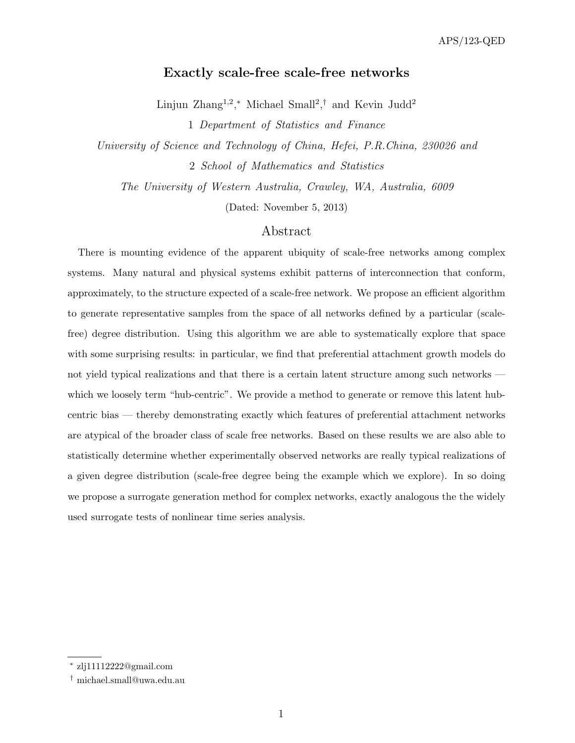## Exactly scale-free scale-free networks

Linjun Zhang<sup>1,2</sup>,<sup>\*</sup> Michael Small<sup>2</sup>,<sup>†</sup> and Kevin Judd<sup>2</sup>

1 Department of Statistics and Finance

University of Science and Technology of China, Hefei, P.R.China, 230026 and 2 School of Mathematics and Statistics

The University of Western Australia, Crawley, WA, Australia, 6009

(Dated: November 5, 2013)

# Abstract

There is mounting evidence of the apparent ubiquity of scale-free networks among complex systems. Many natural and physical systems exhibit patterns of interconnection that conform, approximately, to the structure expected of a scale-free network. We propose an efficient algorithm to generate representative samples from the space of all networks defined by a particular (scalefree) degree distribution. Using this algorithm we are able to systematically explore that space with some surprising results: in particular, we find that preferential attachment growth models do not yield typical realizations and that there is a certain latent structure among such networks which we loosely term "hub-centric". We provide a method to generate or remove this latent hubcentric bias — thereby demonstrating exactly which features of preferential attachment networks are atypical of the broader class of scale free networks. Based on these results we are also able to statistically determine whether experimentally observed networks are really typical realizations of a given degree distribution (scale-free degree being the example which we explore). In so doing we propose a surrogate generation method for complex networks, exactly analogous the the widely used surrogate tests of nonlinear time series analysis.

<sup>∗</sup> zlj11112222@gmail.com

<sup>†</sup> michael.small@uwa.edu.au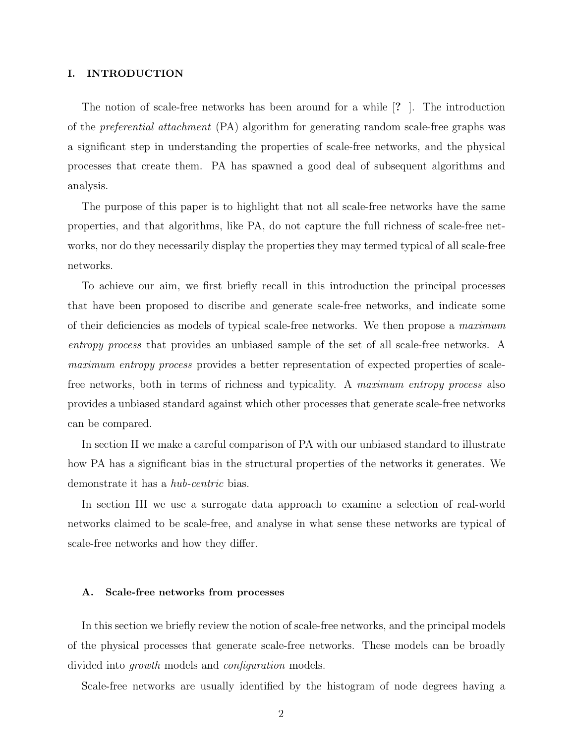## I. INTRODUCTION

The notion of scale-free networks has been around for a while [? ]. The introduction of the preferential attachment (PA) algorithm for generating random scale-free graphs was a significant step in understanding the properties of scale-free networks, and the physical processes that create them. PA has spawned a good deal of subsequent algorithms and analysis.

The purpose of this paper is to highlight that not all scale-free networks have the same properties, and that algorithms, like PA, do not capture the full richness of scale-free networks, nor do they necessarily display the properties they may termed typical of all scale-free networks.

To achieve our aim, we first briefly recall in this introduction the principal processes that have been proposed to discribe and generate scale-free networks, and indicate some of their deficiencies as models of typical scale-free networks. We then propose a maximum entropy process that provides an unbiased sample of the set of all scale-free networks. A maximum entropy process provides a better representation of expected properties of scalefree networks, both in terms of richness and typicality. A maximum entropy process also provides a unbiased standard against which other processes that generate scale-free networks can be compared.

In section II we make a careful comparison of PA with our unbiased standard to illustrate how PA has a significant bias in the structural properties of the networks it generates. We demonstrate it has a *hub-centric* bias.

In section III we use a surrogate data approach to examine a selection of real-world networks claimed to be scale-free, and analyse in what sense these networks are typical of scale-free networks and how they differ.

#### A. Scale-free networks from processes

In this section we briefly review the notion of scale-free networks, and the principal models of the physical processes that generate scale-free networks. These models can be broadly divided into *growth* models and *configuration* models.

Scale-free networks are usually identified by the histogram of node degrees having a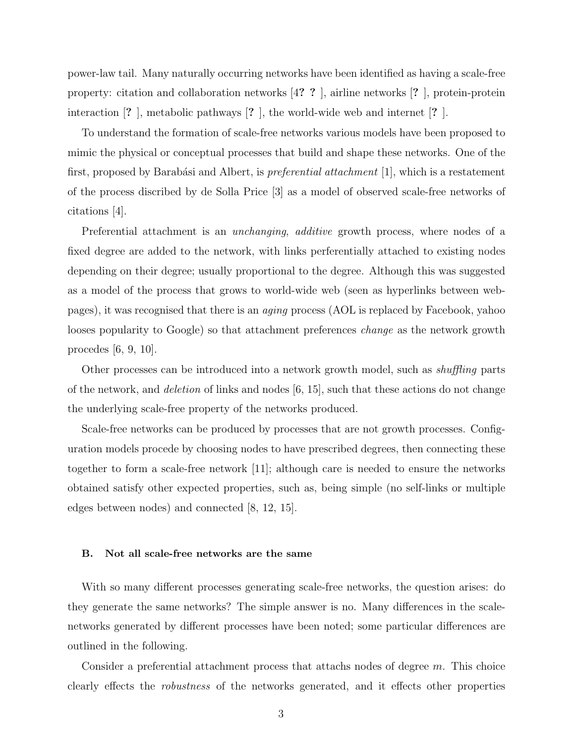power-law tail. Many naturally occurring networks have been identified as having a scale-free property: citation and collaboration networks [4? ? ], airline networks [? ], protein-protein interaction [? ], metabolic pathways [? ], the world-wide web and internet [? ].

To understand the formation of scale-free networks various models have been proposed to mimic the physical or conceptual processes that build and shape these networks. One of the first, proposed by Barabási and Albert, is *preferential attachment* [1], which is a restatement of the process discribed by de Solla Price [3] as a model of observed scale-free networks of citations [4].

Preferential attachment is an *unchanging*, *additive* growth process, where nodes of a fixed degree are added to the network, with links perferentially attached to existing nodes depending on their degree; usually proportional to the degree. Although this was suggested as a model of the process that grows to world-wide web (seen as hyperlinks between webpages), it was recognised that there is an aging process (AOL is replaced by Facebook, yahoo looses popularity to Google) so that attachment preferences *change* as the network growth procedes [6, 9, 10].

Other processes can be introduced into a network growth model, such as *shuffling* parts of the network, and *deletion* of links and nodes  $[6, 15]$ , such that these actions do not change the underlying scale-free property of the networks produced.

Scale-free networks can be produced by processes that are not growth processes. Configuration models procede by choosing nodes to have prescribed degrees, then connecting these together to form a scale-free network [11]; although care is needed to ensure the networks obtained satisfy other expected properties, such as, being simple (no self-links or multiple edges between nodes) and connected [8, 12, 15].

#### B. Not all scale-free networks are the same

With so many different processes generating scale-free networks, the question arises: do they generate the same networks? The simple answer is no. Many differences in the scalenetworks generated by different processes have been noted; some particular differences are outlined in the following.

Consider a preferential attachment process that attachs nodes of degree m. This choice clearly effects the robustness of the networks generated, and it effects other properties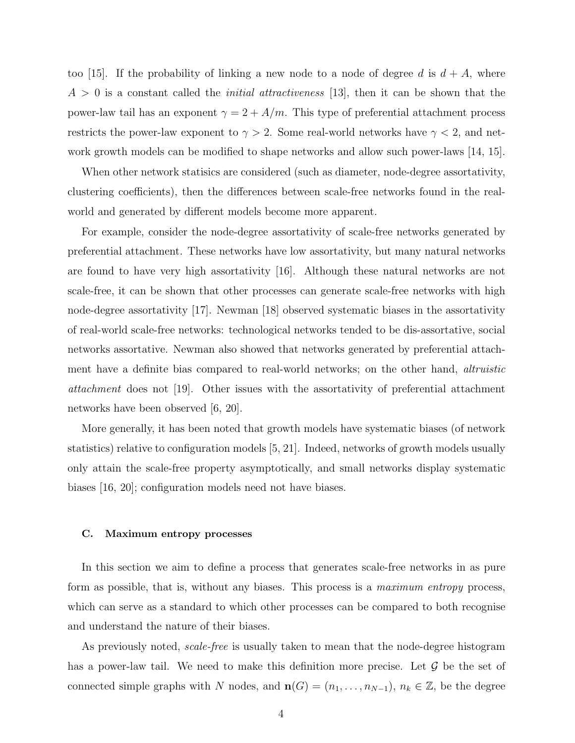too [15]. If the probability of linking a new node to a node of degree d is  $d + A$ , where  $A > 0$  is a constant called the *initial attractiveness* [13], then it can be shown that the power-law tail has an exponent  $\gamma = 2 + A/m$ . This type of preferential attachment process restricts the power-law exponent to  $\gamma > 2$ . Some real-world networks have  $\gamma < 2$ , and network growth models can be modified to shape networks and allow such power-laws [14, 15].

When other network statisics are considered (such as diameter, node-degree assortativity, clustering coefficients), then the differences between scale-free networks found in the realworld and generated by different models become more apparent.

For example, consider the node-degree assortativity of scale-free networks generated by preferential attachment. These networks have low assortativity, but many natural networks are found to have very high assortativity [16]. Although these natural networks are not scale-free, it can be shown that other processes can generate scale-free networks with high node-degree assortativity [17]. Newman [18] observed systematic biases in the assortativity of real-world scale-free networks: technological networks tended to be dis-assortative, social networks assortative. Newman also showed that networks generated by preferential attachment have a definite bias compared to real-world networks; on the other hand, altruistic attachment does not [19]. Other issues with the assortativity of preferential attachment networks have been observed [6, 20].

More generally, it has been noted that growth models have systematic biases (of network statistics) relative to configuration models [5, 21]. Indeed, networks of growth models usually only attain the scale-free property asymptotically, and small networks display systematic biases [16, 20]; configuration models need not have biases.

#### C. Maximum entropy processes

In this section we aim to define a process that generates scale-free networks in as pure form as possible, that is, without any biases. This process is a *maximum entropy* process, which can serve as a standard to which other processes can be compared to both recognise and understand the nature of their biases.

As previously noted, *scale-free* is usually taken to mean that the node-degree histogram has a power-law tail. We need to make this definition more precise. Let  $\mathcal G$  be the set of connected simple graphs with N nodes, and  $\mathbf{n}(G) = (n_1, \ldots, n_{N-1}), n_k \in \mathbb{Z}$ , be the degree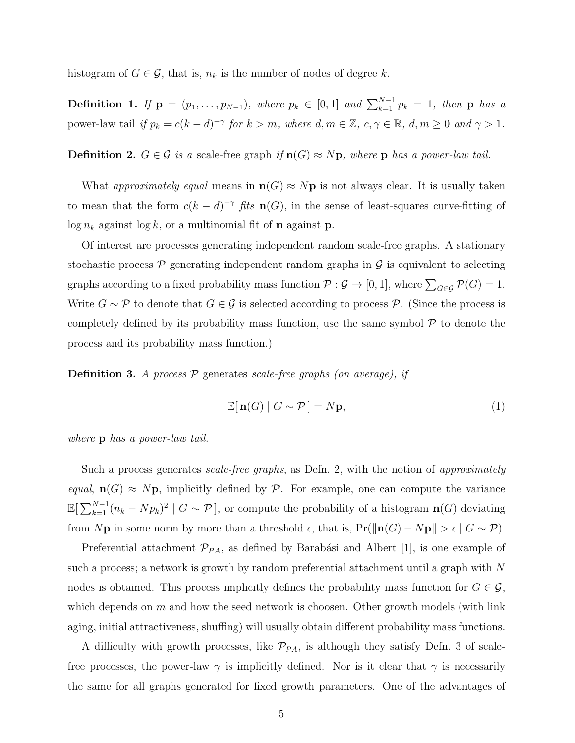histogram of  $G \in \mathcal{G}$ , that is,  $n_k$  is the number of nodes of degree k.

**Definition 1.** If  $\mathbf{p} = (p_1, \ldots, p_{N-1})$ , where  $p_k \in [0,1]$  and  $\sum_{k=1}^{N-1} p_k = 1$ , then  $\mathbf{p}$  has a power-law tail if  $p_k = c(k-d)^{-\gamma}$  for  $k > m$ , where  $d, m \in \mathbb{Z}$ ,  $c, \gamma \in \mathbb{R}$ ,  $d, m \ge 0$  and  $\gamma > 1$ .

Definition 2.  $G \in \mathcal{G}$  is a scale-free graph if  $\mathbf{n}(G) \approx N\mathbf{p}$ , where  $\mathbf{p}$  has a power-law tail.

What approximately equal means in  $\mathbf{n}(G) \approx N\mathbf{p}$  is not always clear. It is usually taken to mean that the form  $c(k - d)^{-\gamma}$  fits  $\mathbf{n}(G)$ , in the sense of least-squares curve-fitting of  $\log n_k$  against  $\log k$ , or a multinomial fit of **n** against **p**.

Of interest are processes generating independent random scale-free graphs. A stationary stochastic process  $\mathcal P$  generating independent random graphs in  $\mathcal G$  is equivalent to selecting graphs according to a fixed probability mass function  $P: \mathcal{G} \to [0,1]$ , where  $\sum_{G \in \mathcal{G}} \mathcal{P}(G) = 1$ . Write  $G \sim \mathcal{P}$  to denote that  $G \in \mathcal{G}$  is selected according to process  $\mathcal{P}$ . (Since the process is completely defined by its probability mass function, use the same symbol  $P$  to denote the process and its probability mass function.)

**Definition 3.** A process  $P$  generates scale-free graphs (on average), if

$$
\mathbb{E}[\mathbf{n}(G) | G \sim \mathcal{P}] = N\mathbf{p},\tag{1}
$$

where **p** has a power-law tail.

Such a process generates *scale-free graphs*, as Defn. 2, with the notion of *approximately* equal,  $\mathbf{n}(G) \approx N\mathbf{p}$ , implicitly defined by  $P$ . For example, one can compute the variance  $\mathbb{E}[\sum_{k=1}^{N-1}(n_k-Np_k)^2 \mid G \sim \mathcal{P}],$  or compute the probability of a histogram  $\mathbf{n}(G)$  deviating from Np in some norm by more than a threshold  $\epsilon$ , that is, Pr( $\|\mathbf{n}(G) - N\mathbf{p}\| > \epsilon$  |  $G \sim \mathcal{P}$ ).

Preferential attachment  $\mathcal{P}_{PA}$ , as defined by Barabási and Albert [1], is one example of such a process; a network is growth by random preferential attachment until a graph with N nodes is obtained. This process implicitly defines the probability mass function for  $G \in \mathcal{G}$ , which depends on  $m$  and how the seed network is choosen. Other growth models (with link aging, initial attractiveness, shuffing) will usually obtain different probability mass functions.

A difficulty with growth processes, like  $\mathcal{P}_{PA}$ , is although they satisfy Defn. 3 of scalefree processes, the power-law  $\gamma$  is implicitly defined. Nor is it clear that  $\gamma$  is necessarily the same for all graphs generated for fixed growth parameters. One of the advantages of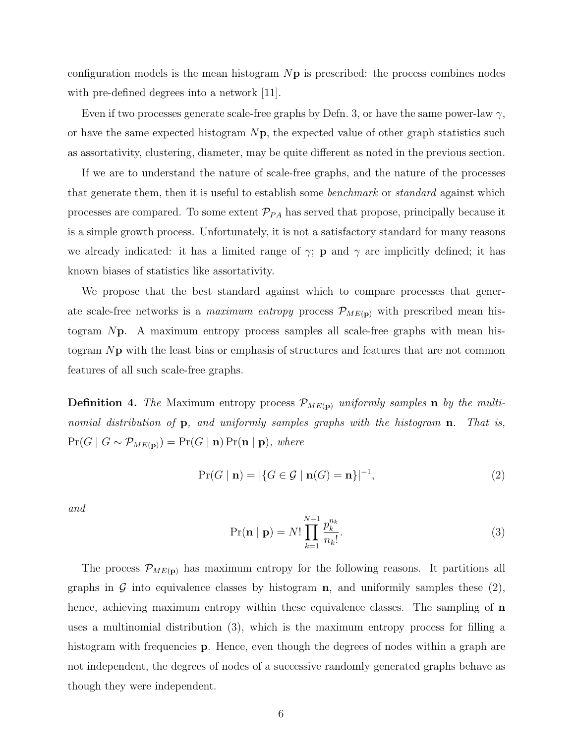configuration models is the mean histogram  $N\mathbf{p}$  is prescribed: the process combines nodes with pre-defined degrees into a network [11].

Even if two processes generate scale-free graphs by Defn. 3, or have the same power-law  $\gamma$ , or have the same expected histogram  $N_{\rm P}$ , the expected value of other graph statistics such as assortativity, clustering, diameter, may be quite different as noted in the previous section.

If we are to understand the nature of scale-free graphs, and the nature of the processes that generate them, then it is useful to establish some benchmark or standard against which processes are compared. To some extent  $\mathcal{P}_{PA}$  has served that propose, principally because it is a simple growth process. Unfortunately, it is not a satisfactory standard for many reasons we already indicated: it has a limited range of  $\gamma$ ; **p** and  $\gamma$  are implicitly defined; it has known biases of statistics like assortativity.

We propose that the best standard against which to compare processes that generate scale-free networks is a *maximum entropy* process  $\mathcal{P}_{ME(p)}$  with prescribed mean histogram Np. A maximum entropy process samples all scale-free graphs with mean histogram Np with the least bias or emphasis of structures and features that are not common features of all such scale-free graphs.

**Definition 4.** The Maximum entropy process  $\mathcal{P}_{ME(p)}$  uniformly samples **n** by the multinomial distribution of **p**, and uniformly samples graphs with the histogram **n**. That is,  $Pr(G | G \sim \mathcal{P}_{ME(p)}) = Pr(G | n) Pr(n | p)$ , where

$$
\Pr(G \mid \mathbf{n}) = |\{ G \in \mathcal{G} \mid \mathbf{n}(G) = \mathbf{n} \}|^{-1},\tag{2}
$$

and

$$
\Pr(\mathbf{n} \mid \mathbf{p}) = N! \prod_{k=1}^{N-1} \frac{p_k^{n_k}}{n_k!}.
$$
\n(3)

The process  $\mathcal{P}_{ME(p)}$  has maximum entropy for the following reasons. It partitions all graphs in  $\mathcal G$  into equivalence classes by histogram **n**, and uniformily samples these (2), hence, achieving maximum entropy within these equivalence classes. The sampling of **n** uses a multinomial distribution (3), which is the maximum entropy process for filling a histogram with frequencies **p**. Hence, even though the degrees of nodes within a graph are not independent, the degrees of nodes of a successive randomly generated graphs behave as though they were independent.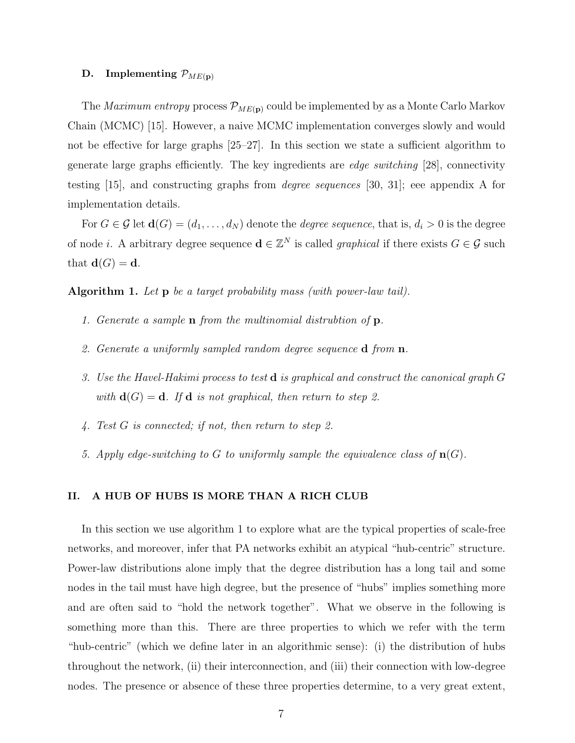## D. Implementing  $\mathcal{P}_{ME(\mathbf{p})}$

The *Maximum entropy* process  $\mathcal{P}_{ME(p)}$  could be implemented by as a Monte Carlo Markov Chain (MCMC) [15]. However, a naive MCMC implementation converges slowly and would not be effective for large graphs [25–27]. In this section we state a sufficient algorithm to generate large graphs efficiently. The key ingredients are edge switching [28], connectivity testing [15], and constructing graphs from degree sequences [30, 31]; eee appendix A for implementation details.

For  $G \in \mathcal{G}$  let  $\mathbf{d}(G) = (d_1, \ldots, d_N)$  denote the *degree sequence*, that is,  $d_i > 0$  is the degree of node *i*. A arbitrary degree sequence  $\mathbf{d} \in \mathbb{Z}^N$  is called *graphical* if there exists  $G \in \mathcal{G}$  such that  $\mathbf{d}(G) = \mathbf{d}$ .

Algorithm 1. Let p be a target probability mass (with power-law tail).

- 1. Generate a sample n from the multinomial distrubtion of p.
- 2. Generate a uniformly sampled random degree sequence **d** from **n**.
- 3. Use the Havel-Hakimi process to test  $\bf d$  is graphical and construct the canonical graph  $G$ with  $\mathbf{d}(G) = \mathbf{d}$ . If  $\mathbf{d}$  is not graphical, then return to step 2.
- 4. Test G is connected; if not, then return to step 2.
- 5. Apply edge-switching to G to uniformly sample the equivalence class of  $\mathbf{n}(G)$ .

## II. A HUB OF HUBS IS MORE THAN A RICH CLUB

In this section we use algorithm 1 to explore what are the typical properties of scale-free networks, and moreover, infer that PA networks exhibit an atypical "hub-centric" structure. Power-law distributions alone imply that the degree distribution has a long tail and some nodes in the tail must have high degree, but the presence of "hubs" implies something more and are often said to "hold the network together". What we observe in the following is something more than this. There are three properties to which we refer with the term "hub-centric" (which we define later in an algorithmic sense): (i) the distribution of hubs throughout the network, (ii) their interconnection, and (iii) their connection with low-degree nodes. The presence or absence of these three properties determine, to a very great extent,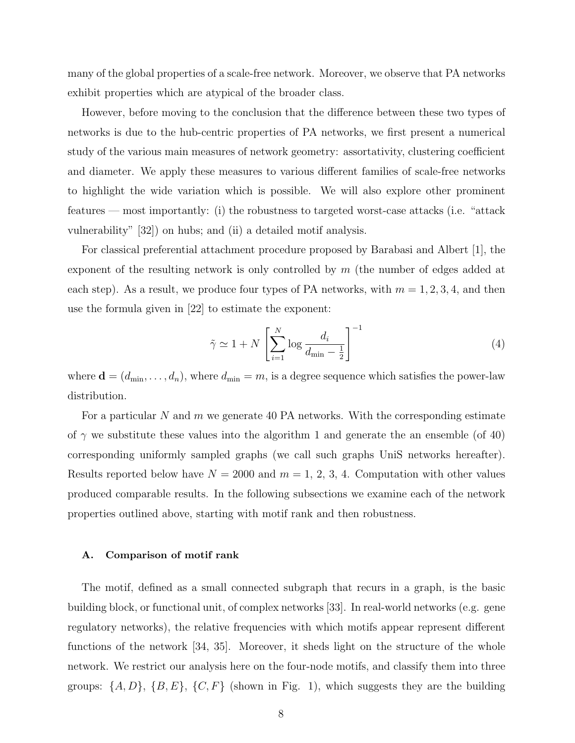many of the global properties of a scale-free network. Moreover, we observe that PA networks exhibit properties which are atypical of the broader class.

However, before moving to the conclusion that the difference between these two types of networks is due to the hub-centric properties of PA networks, we first present a numerical study of the various main measures of network geometry: assortativity, clustering coefficient and diameter. We apply these measures to various different families of scale-free networks to highlight the wide variation which is possible. We will also explore other prominent features — most importantly: (i) the robustness to targeted worst-case attacks (i.e. "attack vulnerability" [32]) on hubs; and (ii) a detailed motif analysis.

For classical preferential attachment procedure proposed by Barabasi and Albert [1], the exponent of the resulting network is only controlled by  $m$  (the number of edges added at each step). As a result, we produce four types of PA networks, with  $m = 1, 2, 3, 4$ , and then use the formula given in [22] to estimate the exponent:

$$
\tilde{\gamma} \simeq 1 + N \left[ \sum_{i=1}^{N} \log \frac{d_i}{d_{\min} - \frac{1}{2}} \right]^{-1} \tag{4}
$$

where  $\mathbf{d} = (d_{\min}, \dots, d_n)$ , where  $d_{\min} = m$ , is a degree sequence which satisfies the power-law distribution.

For a particular N and m we generate 40 PA networks. With the corresponding estimate of  $\gamma$  we substitute these values into the algorithm 1 and generate the an ensemble (of 40) corresponding uniformly sampled graphs (we call such graphs UniS networks hereafter). Results reported below have  $N = 2000$  and  $m = 1, 2, 3, 4$ . Computation with other values produced comparable results. In the following subsections we examine each of the network properties outlined above, starting with motif rank and then robustness.

#### A. Comparison of motif rank

The motif, defined as a small connected subgraph that recurs in a graph, is the basic building block, or functional unit, of complex networks [33]. In real-world networks (e.g. gene regulatory networks), the relative frequencies with which motifs appear represent different functions of the network [34, 35]. Moreover, it sheds light on the structure of the whole network. We restrict our analysis here on the four-node motifs, and classify them into three groups:  $\{A, D\}$ ,  $\{B, E\}$ ,  $\{C, F\}$  (shown in Fig. 1), which suggests they are the building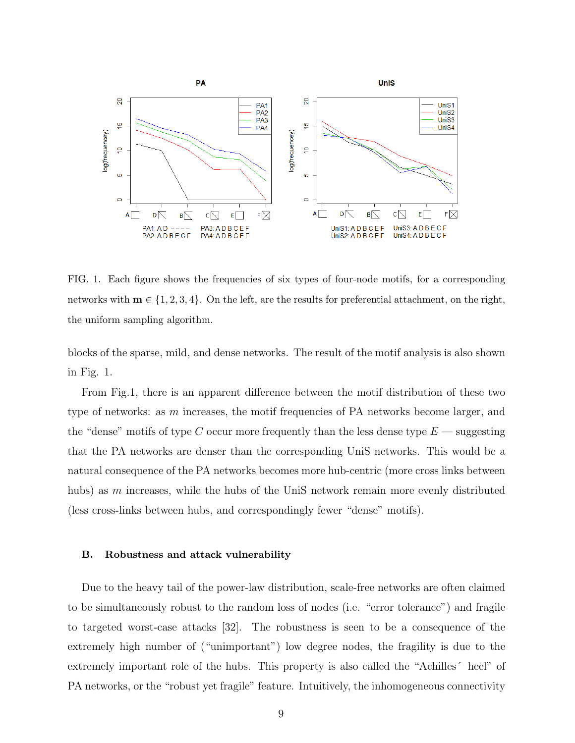

FIG. 1. Each figure shows the frequencies of six types of four-node motifs, for a corresponding networks with  $m \in \{1, 2, 3, 4\}$ . On the left, are the results for preferential attachment, on the right, the uniform sampling algorithm.

blocks of the sparse, mild, and dense networks. The result of the motif analysis is also shown in Fig. 1.

From Fig.1, there is an apparent difference between the motif distribution of these two type of networks: as m increases, the motif frequencies of PA networks become larger, and the "dense" motifs of type C occur more frequently than the less dense type  $E$  — suggesting that the PA networks are denser than the corresponding UniS networks. This would be a natural consequence of the PA networks becomes more hub-centric (more cross links between hubs) as  $m$  increases, while the hubs of the UniS network remain more evenly distributed (less cross-links between hubs, and correspondingly fewer "dense" motifs).

#### B. Robustness and attack vulnerability

Due to the heavy tail of the power-law distribution, scale-free networks are often claimed to be simultaneously robust to the random loss of nodes (i.e. "error tolerance") and fragile to targeted worst-case attacks [32]. The robustness is seen to be a consequence of the extremely high number of ("unimportant") low degree nodes, the fragility is due to the extremely important role of the hubs. This property is also called the "Achilles´ heel" of PA networks, or the "robust yet fragile" feature. Intuitively, the inhomogeneous connectivity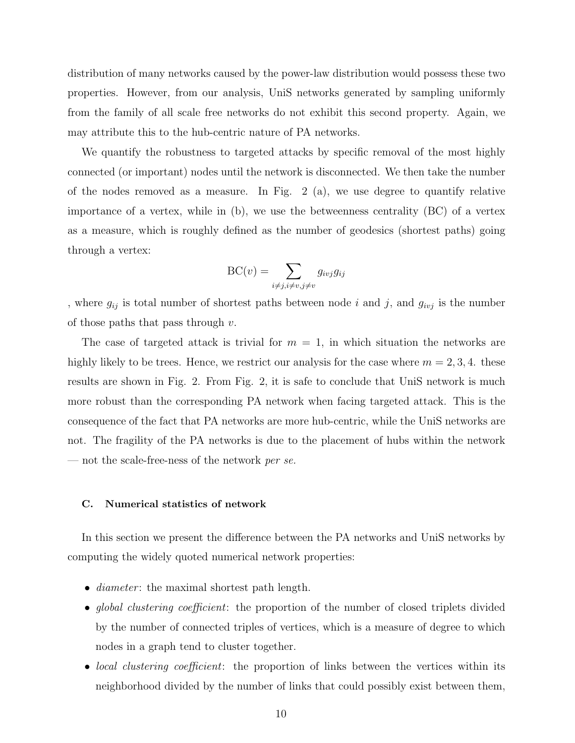distribution of many networks caused by the power-law distribution would possess these two properties. However, from our analysis, UniS networks generated by sampling uniformly from the family of all scale free networks do not exhibit this second property. Again, we may attribute this to the hub-centric nature of PA networks.

We quantify the robustness to targeted attacks by specific removal of the most highly connected (or important) nodes until the network is disconnected. We then take the number of the nodes removed as a measure. In Fig.  $2$  (a), we use degree to quantify relative importance of a vertex, while in (b), we use the betweenness centrality (BC) of a vertex as a measure, which is roughly defined as the number of geodesics (shortest paths) going through a vertex:

$$
BC(v) = \sum_{i \neq j, i \neq v, j \neq v} g_{ivj} g_{ij}
$$

, where  $g_{ij}$  is total number of shortest paths between node i and j, and  $g_{ivj}$  is the number of those paths that pass through  $v$ .

The case of targeted attack is trivial for  $m = 1$ , in which situation the networks are highly likely to be trees. Hence, we restrict our analysis for the case where  $m = 2, 3, 4$ . these results are shown in Fig. 2. From Fig. 2, it is safe to conclude that UniS network is much more robust than the corresponding PA network when facing targeted attack. This is the consequence of the fact that PA networks are more hub-centric, while the UniS networks are not. The fragility of the PA networks is due to the placement of hubs within the network — not the scale-free-ness of the network per se.

#### C. Numerical statistics of network

In this section we present the difference between the PA networks and UniS networks by computing the widely quoted numerical network properties:

- *diameter*: the maximal shortest path length.
- global clustering coefficient: the proportion of the number of closed triplets divided by the number of connected triples of vertices, which is a measure of degree to which nodes in a graph tend to cluster together.
- *local clustering coefficient*: the proportion of links between the vertices within its neighborhood divided by the number of links that could possibly exist between them,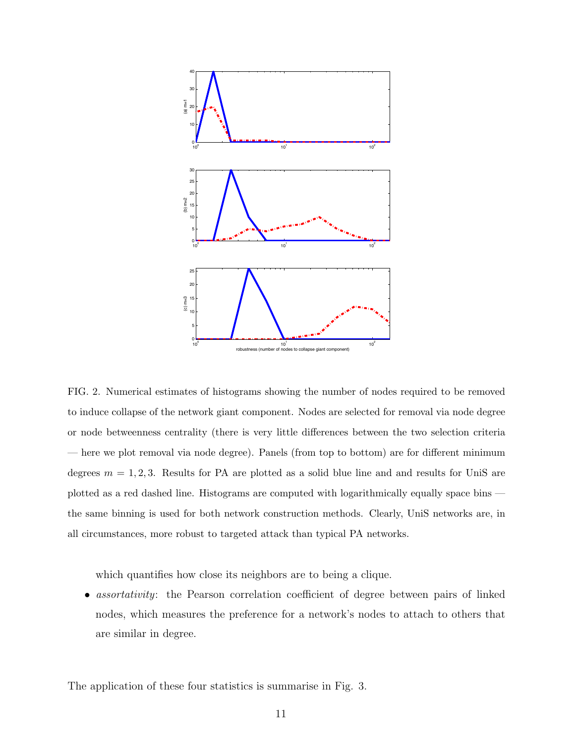

FIG. 2. Numerical estimates of histograms showing the number of nodes required to be removed to induce collapse of the network giant component. Nodes are selected for removal via node degree or node betweenness centrality (there is very little differences between the two selection criteria — here we plot removal via node degree). Panels (from top to bottom) are for different minimum degrees  $m = 1, 2, 3$ . Results for PA are plotted as a solid blue line and and results for UniS are plotted as a red dashed line. Histograms are computed with logarithmically equally space bins the same binning is used for both network construction methods. Clearly, UniS networks are, in all circumstances, more robust to targeted attack than typical PA networks.

which quantifies how close its neighbors are to being a clique.

• *assortativity*: the Pearson correlation coefficient of degree between pairs of linked nodes, which measures the preference for a network's nodes to attach to others that are similar in degree.

The application of these four statistics is summarise in Fig. 3.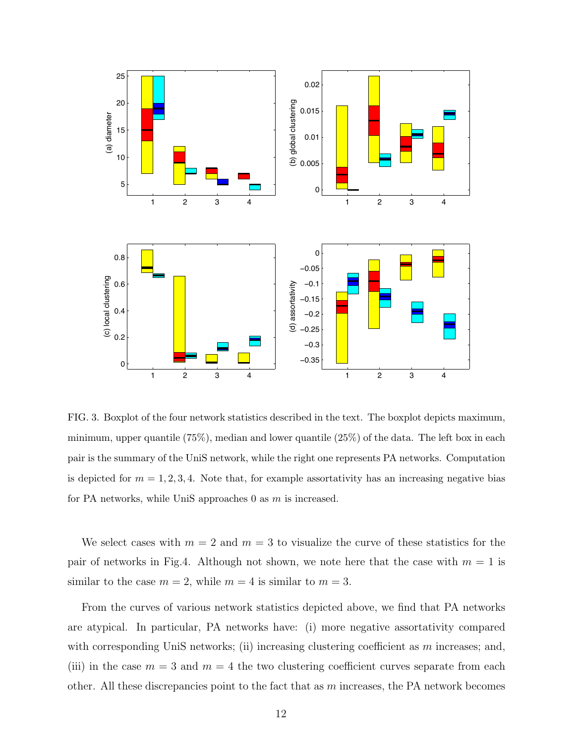

FIG. 3. Boxplot of the four network statistics described in the text. The boxplot depicts maximum, minimum, upper quantile (75%), median and lower quantile (25%) of the data. The left box in each pair is the summary of the UniS network, while the right one represents PA networks. Computation is depicted for  $m = 1, 2, 3, 4$ . Note that, for example assortativity has an increasing negative bias for PA networks, while UniS approaches  $0$  as  $m$  is increased.

We select cases with  $m = 2$  and  $m = 3$  to visualize the curve of these statistics for the pair of networks in Fig.4. Although not shown, we note here that the case with  $m = 1$  is similar to the case  $m = 2$ , while  $m = 4$  is similar to  $m = 3$ .

From the curves of various network statistics depicted above, we find that PA networks are atypical. In particular, PA networks have: (i) more negative assortativity compared with corresponding UniS networks; (ii) increasing clustering coefficient as m increases; and, (iii) in the case  $m = 3$  and  $m = 4$  the two clustering coefficient curves separate from each other. All these discrepancies point to the fact that as  $m$  increases, the PA network becomes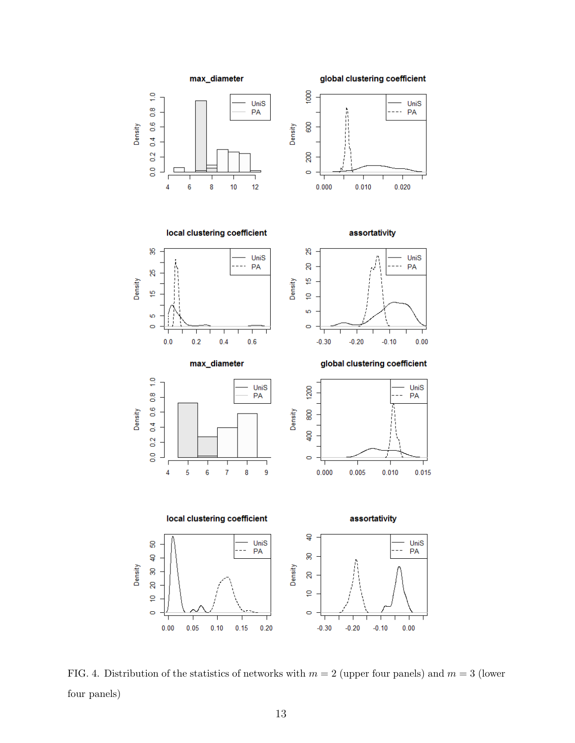

FIG. 4. Distribution of the statistics of networks with  $m = 2$  (upper four panels) and  $m = 3$  (lower four panels)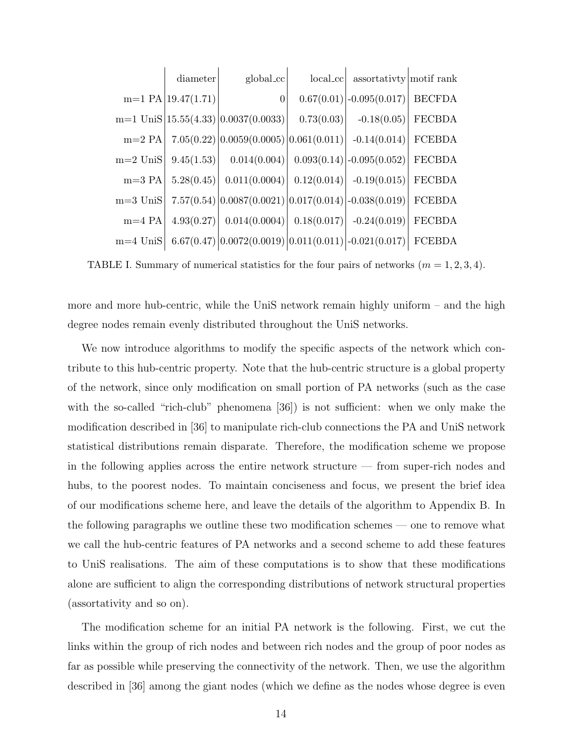|            | diameter                | global_cc                                                              |            | $\vert \text{local\_cc} \vert$ assortativty motif rank                  |        |
|------------|-------------------------|------------------------------------------------------------------------|------------|-------------------------------------------------------------------------|--------|
|            | $m=1$ PA $ 19.47(1.71)$ | $\overline{0}$                                                         |            | $0.67(0.01)$ -0.095(0.017) BECFDA                                       |        |
|            |                         | $m=1$ UniS $ 15.55(4.33) 0.0037(0.0033) $                              | 0.73(0.03) | $-0.18(0.05)$                                                           | FECBDA |
| $m=2$ PA   |                         | $7.05(0.22)  0.0059(0.0005)  0.061(0.011)   -0.14(0.014)   FCEBDA$     |            |                                                                         |        |
| $m=2$ UniS | 9.45(1.53)              |                                                                        |            | $[0.014(0.004) \mid 0.093(0.14) \mid -0.095(0.052) \mid \text{FECBDA}]$ |        |
| $m=3$ PA   | 5.28(0.45)              | $[0.011(0.0004) \mid 0.12(0.014) \mid -0.19(0.015) \mid \text{FECBDA}$ |            |                                                                         |        |
| $m=3$ UniS |                         | $7.57(0.54)  0.0087(0.0021) 0.017(0.014) -0.038(0.019) $ FCEBDA        |            |                                                                         |        |
| $m=4$ PA   | 4.93(0.27)              | $[0.014(0.0004) \mid 0.18(0.017) \mid -0.24(0.019) \mid \text{FECBDA}$ |            |                                                                         |        |
| $m=4$ UniS |                         | $6.67(0.47)  0.0072(0.0019)  0.011(0.011)  -0.021(0.017)  $ FCEBDA     |            |                                                                         |        |

TABLE I. Summary of numerical statistics for the four pairs of networks  $(m = 1, 2, 3, 4)$ .

more and more hub-centric, while the UniS network remain highly uniform – and the high degree nodes remain evenly distributed throughout the UniS networks.

We now introduce algorithms to modify the specific aspects of the network which contribute to this hub-centric property. Note that the hub-centric structure is a global property of the network, since only modification on small portion of PA networks (such as the case with the so-called "rich-club" phenomena [36]) is not sufficient: when we only make the modification described in [36] to manipulate rich-club connections the PA and UniS network statistical distributions remain disparate. Therefore, the modification scheme we propose in the following applies across the entire network structure — from super-rich nodes and hubs, to the poorest nodes. To maintain conciseness and focus, we present the brief idea of our modifications scheme here, and leave the details of the algorithm to Appendix B. In the following paragraphs we outline these two modification schemes — one to remove what we call the hub-centric features of PA networks and a second scheme to add these features to UniS realisations. The aim of these computations is to show that these modifications alone are sufficient to align the corresponding distributions of network structural properties (assortativity and so on).

The modification scheme for an initial PA network is the following. First, we cut the links within the group of rich nodes and between rich nodes and the group of poor nodes as far as possible while preserving the connectivity of the network. Then, we use the algorithm described in [36] among the giant nodes (which we define as the nodes whose degree is even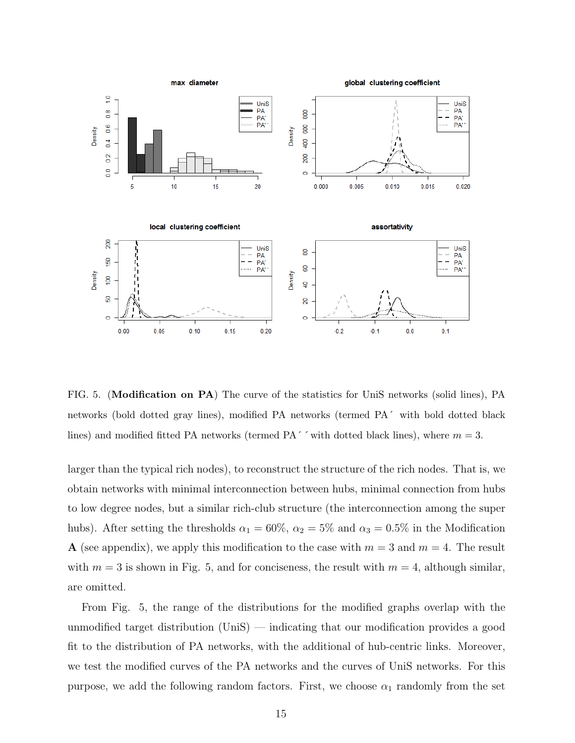

FIG. 5. (Modification on PA) The curve of the statistics for UniS networks (solid lines), PA networks (bold dotted gray lines), modified PA networks (termed PA´ with bold dotted black lines) and modified fitted PA networks (termed PA $\degree$   $\degree$  with dotted black lines), where  $m = 3$ .

larger than the typical rich nodes), to reconstruct the structure of the rich nodes. That is, we obtain networks with minimal interconnection between hubs, minimal connection from hubs to low degree nodes, but a similar rich-club structure (the interconnection among the super hubs). After setting the thresholds  $\alpha_1 = 60\%$ ,  $\alpha_2 = 5\%$  and  $\alpha_3 = 0.5\%$  in the Modification A (see appendix), we apply this modification to the case with  $m = 3$  and  $m = 4$ . The result with  $m = 3$  is shown in Fig. 5, and for conciseness, the result with  $m = 4$ , although similar, are omitted.

From Fig. 5, the range of the distributions for the modified graphs overlap with the unmodified target distribution  $(\text{UniS})$  — indicating that our modification provides a good fit to the distribution of PA networks, with the additional of hub-centric links. Moreover, we test the modified curves of the PA networks and the curves of UniS networks. For this purpose, we add the following random factors. First, we choose  $\alpha_1$  randomly from the set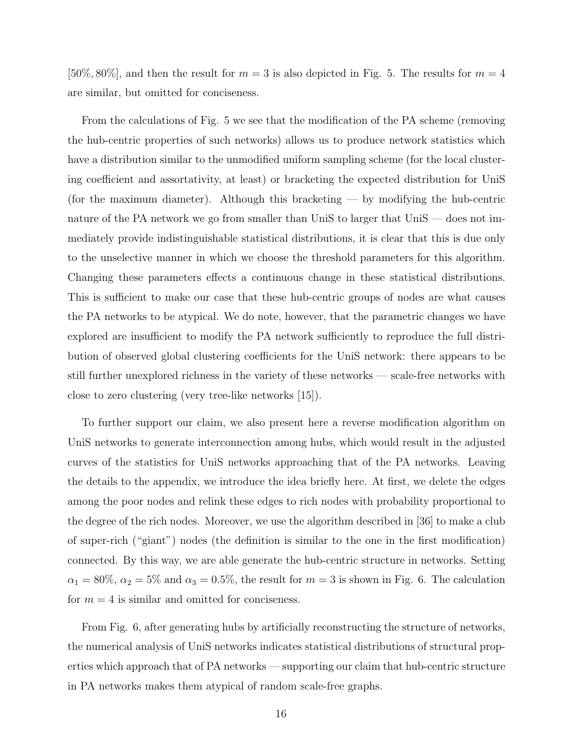[50\%, 80\%], and then the result for  $m = 3$  is also depicted in Fig. 5. The results for  $m = 4$ are similar, but omitted for conciseness.

From the calculations of Fig. 5 we see that the modification of the PA scheme (removing the hub-centric properties of such networks) allows us to produce network statistics which have a distribution similar to the unmodified uniform sampling scheme (for the local clustering coefficient and assortativity, at least) or bracketing the expected distribution for UniS (for the maximum diameter). Although this bracketing — by modifying the hub-centric nature of the PA network we go from smaller than UniS to larger that UniS — does not immediately provide indistinguishable statistical distributions, it is clear that this is due only to the unselective manner in which we choose the threshold parameters for this algorithm. Changing these parameters effects a continuous change in these statistical distributions. This is sufficient to make our case that these hub-centric groups of nodes are what causes the PA networks to be atypical. We do note, however, that the parametric changes we have explored are insufficient to modify the PA network sufficiently to reproduce the full distribution of observed global clustering coefficients for the UniS network: there appears to be still further unexplored richness in the variety of these networks — scale-free networks with close to zero clustering (very tree-like networks [15]).

To further support our claim, we also present here a reverse modification algorithm on UniS networks to generate interconnection among hubs, which would result in the adjusted curves of the statistics for UniS networks approaching that of the PA networks. Leaving the details to the appendix, we introduce the idea briefly here. At first, we delete the edges among the poor nodes and relink these edges to rich nodes with probability proportional to the degree of the rich nodes. Moreover, we use the algorithm described in [36] to make a club of super-rich ("giant") nodes (the definition is similar to the one in the first modification) connected. By this way, we are able generate the hub-centric structure in networks. Setting  $\alpha_1 = 80\%, \alpha_2 = 5\%$  and  $\alpha_3 = 0.5\%,$  the result for  $m = 3$  is shown in Fig. 6. The calculation for  $m = 4$  is similar and omitted for conciseness.

From Fig. 6, after generating hubs by artificially reconstructing the structure of networks, the numerical analysis of UniS networks indicates statistical distributions of structural properties which approach that of PA networks — supporting our claim that hub-centric structure in PA networks makes them atypical of random scale-free graphs.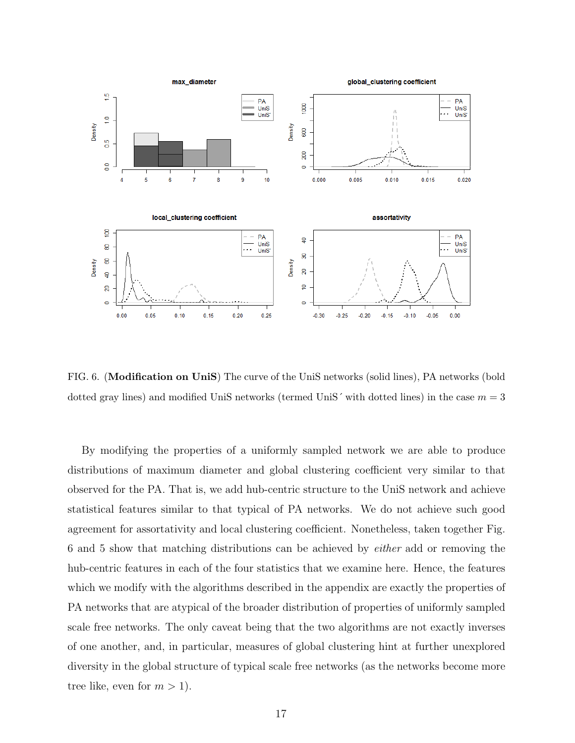

FIG. 6. (Modification on UniS) The curve of the UniS networks (solid lines), PA networks (bold dotted gray lines) and modified UniS networks (termed UniS' with dotted lines) in the case  $m = 3$ 

By modifying the properties of a uniformly sampled network we are able to produce distributions of maximum diameter and global clustering coefficient very similar to that observed for the PA. That is, we add hub-centric structure to the UniS network and achieve statistical features similar to that typical of PA networks. We do not achieve such good agreement for assortativity and local clustering coefficient. Nonetheless, taken together Fig. 6 and 5 show that matching distributions can be achieved by either add or removing the hub-centric features in each of the four statistics that we examine here. Hence, the features which we modify with the algorithms described in the appendix are exactly the properties of PA networks that are atypical of the broader distribution of properties of uniformly sampled scale free networks. The only caveat being that the two algorithms are not exactly inverses of one another, and, in particular, measures of global clustering hint at further unexplored diversity in the global structure of typical scale free networks (as the networks become more tree like, even for  $m > 1$ .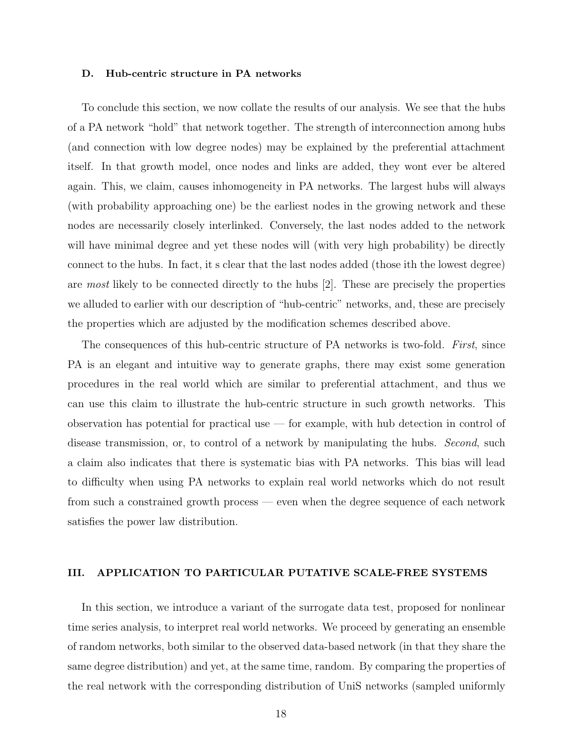#### D. Hub-centric structure in PA networks

To conclude this section, we now collate the results of our analysis. We see that the hubs of a PA network "hold" that network together. The strength of interconnection among hubs (and connection with low degree nodes) may be explained by the preferential attachment itself. In that growth model, once nodes and links are added, they wont ever be altered again. This, we claim, causes inhomogeneity in PA networks. The largest hubs will always (with probability approaching one) be the earliest nodes in the growing network and these nodes are necessarily closely interlinked. Conversely, the last nodes added to the network will have minimal degree and yet these nodes will (with very high probability) be directly connect to the hubs. In fact, it s clear that the last nodes added (those ith the lowest degree) are most likely to be connected directly to the hubs [2]. These are precisely the properties we alluded to earlier with our description of "hub-centric" networks, and, these are precisely the properties which are adjusted by the modification schemes described above.

The consequences of this hub-centric structure of PA networks is two-fold. First, since PA is an elegant and intuitive way to generate graphs, there may exist some generation procedures in the real world which are similar to preferential attachment, and thus we can use this claim to illustrate the hub-centric structure in such growth networks. This observation has potential for practical use  $-$  for example, with hub detection in control of disease transmission, or, to control of a network by manipulating the hubs. Second, such a claim also indicates that there is systematic bias with PA networks. This bias will lead to difficulty when using PA networks to explain real world networks which do not result from such a constrained growth process — even when the degree sequence of each network satisfies the power law distribution.

### III. APPLICATION TO PARTICULAR PUTATIVE SCALE-FREE SYSTEMS

In this section, we introduce a variant of the surrogate data test, proposed for nonlinear time series analysis, to interpret real world networks. We proceed by generating an ensemble of random networks, both similar to the observed data-based network (in that they share the same degree distribution) and yet, at the same time, random. By comparing the properties of the real network with the corresponding distribution of UniS networks (sampled uniformly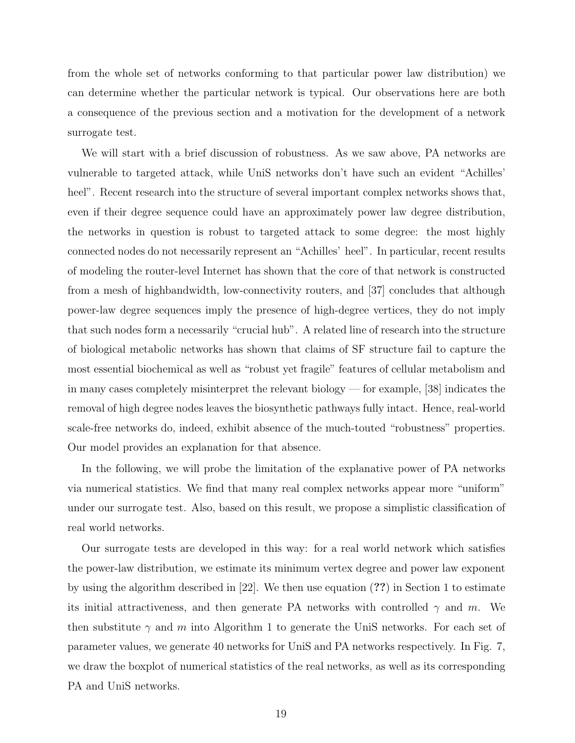from the whole set of networks conforming to that particular power law distribution) we can determine whether the particular network is typical. Our observations here are both a consequence of the previous section and a motivation for the development of a network surrogate test.

We will start with a brief discussion of robustness. As we saw above, PA networks are vulnerable to targeted attack, while UniS networks don't have such an evident "Achilles' heel". Recent research into the structure of several important complex networks shows that, even if their degree sequence could have an approximately power law degree distribution, the networks in question is robust to targeted attack to some degree: the most highly connected nodes do not necessarily represent an "Achilles' heel". In particular, recent results of modeling the router-level Internet has shown that the core of that network is constructed from a mesh of highbandwidth, low-connectivity routers, and [37] concludes that although power-law degree sequences imply the presence of high-degree vertices, they do not imply that such nodes form a necessarily "crucial hub". A related line of research into the structure of biological metabolic networks has shown that claims of SF structure fail to capture the most essential biochemical as well as "robust yet fragile" features of cellular metabolism and in many cases completely misinterpret the relevant biology — for example, [38] indicates the removal of high degree nodes leaves the biosynthetic pathways fully intact. Hence, real-world scale-free networks do, indeed, exhibit absence of the much-touted "robustness" properties. Our model provides an explanation for that absence.

In the following, we will probe the limitation of the explanative power of PA networks via numerical statistics. We find that many real complex networks appear more "uniform" under our surrogate test. Also, based on this result, we propose a simplistic classification of real world networks.

Our surrogate tests are developed in this way: for a real world network which satisfies the power-law distribution, we estimate its minimum vertex degree and power law exponent by using the algorithm described in [22]. We then use equation (??) in Section 1 to estimate its initial attractiveness, and then generate PA networks with controlled  $\gamma$  and m. We then substitute  $\gamma$  and m into Algorithm 1 to generate the UniS networks. For each set of parameter values, we generate 40 networks for UniS and PA networks respectively. In Fig. 7, we draw the boxplot of numerical statistics of the real networks, as well as its corresponding PA and UniS networks.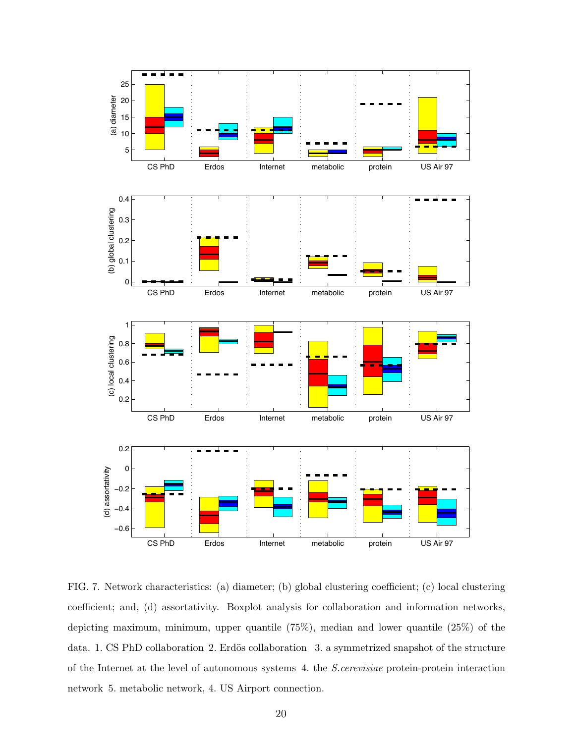

FIG. 7. Network characteristics: (a) diameter; (b) global clustering coefficient; (c) local clustering coefficient; and, (d) assortativity. Boxplot analysis for collaboration and information networks, depicting maximum, minimum, upper quantile (75%), median and lower quantile (25%) of the data. 1. CS PhD collaboration 2. Erdös collaboration 3. a symmetrized snapshot of the structure of the Internet at the level of autonomous systems 4. the S.cerevisiae protein-protein interaction network 5. metabolic network, 4. US Airport connection.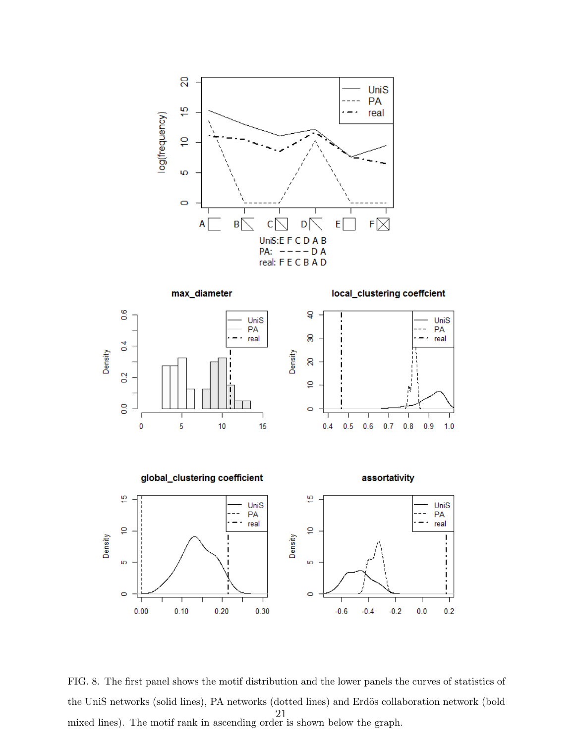





local\_clustering coeffcient



FIG. 8. The first panel shows the motif distribution and the lower panels the curves of statistics of the UniS networks (solid lines), PA networks (dotted lines) and Erdös collaboration network (bold mixed lines). The motif rank in ascending order is shown below the graph. 21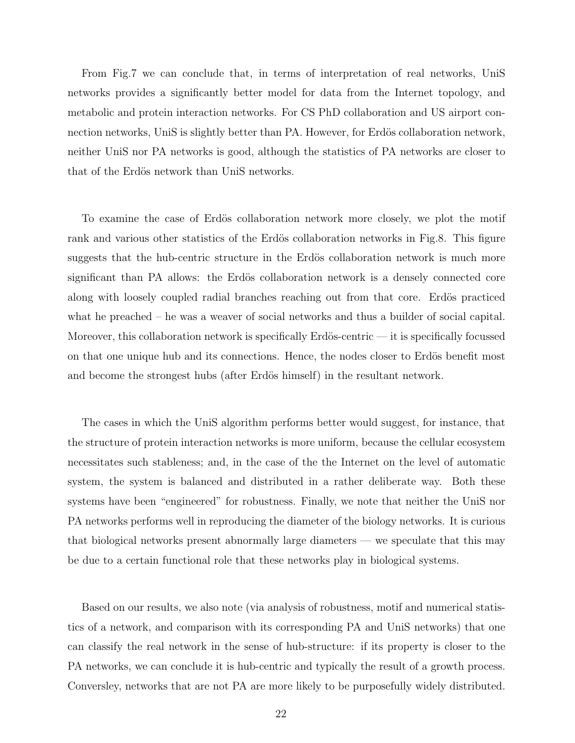From Fig.7 we can conclude that, in terms of interpretation of real networks, UniS networks provides a significantly better model for data from the Internet topology, and metabolic and protein interaction networks. For CS PhD collaboration and US airport connection networks, UniS is slightly better than PA. However, for Erdös collaboration network, neither UniS nor PA networks is good, although the statistics of PA networks are closer to that of the Erdös network than UniS networks.

To examine the case of Erdös collaboration network more closely, we plot the motif rank and various other statistics of the Erdös collaboration networks in Fig.8. This figure suggests that the hub-centric structure in the Erdös collaboration network is much more significant than PA allows: the Erdös collaboration network is a densely connected core along with loosely coupled radial branches reaching out from that core. Erdös practiced what he preached – he was a weaver of social networks and thus a builder of social capital. Moreover, this collaboration network is specifically Erdös-centric — it is specifically focussed on that one unique hub and its connections. Hence, the nodes closer to Erdös benefit most and become the strongest hubs (after Erdös himself) in the resultant network.

The cases in which the UniS algorithm performs better would suggest, for instance, that the structure of protein interaction networks is more uniform, because the cellular ecosystem necessitates such stableness; and, in the case of the the Internet on the level of automatic system, the system is balanced and distributed in a rather deliberate way. Both these systems have been "engineered" for robustness. Finally, we note that neither the UniS nor PA networks performs well in reproducing the diameter of the biology networks. It is curious that biological networks present abnormally large diameters — we speculate that this may be due to a certain functional role that these networks play in biological systems.

Based on our results, we also note (via analysis of robustness, motif and numerical statistics of a network, and comparison with its corresponding PA and UniS networks) that one can classify the real network in the sense of hub-structure: if its property is closer to the PA networks, we can conclude it is hub-centric and typically the result of a growth process. Conversley, networks that are not PA are more likely to be purposefully widely distributed.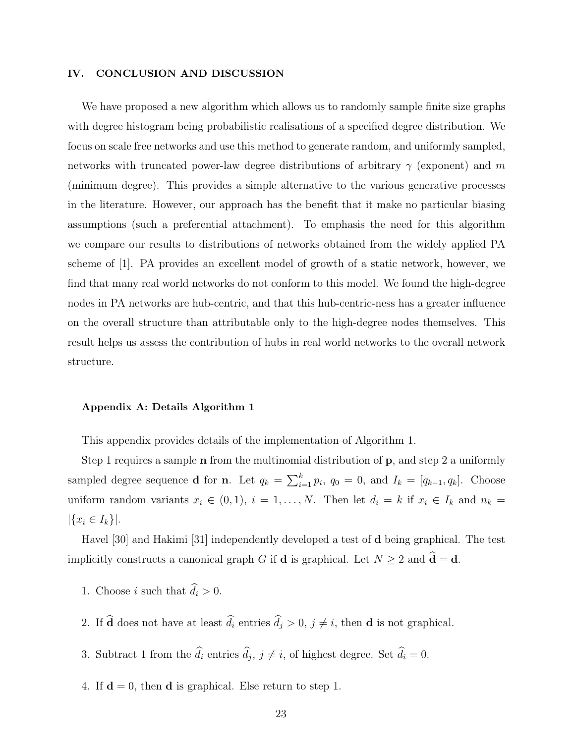### IV. CONCLUSION AND DISCUSSION

We have proposed a new algorithm which allows us to randomly sample finite size graphs with degree histogram being probabilistic realisations of a specified degree distribution. We focus on scale free networks and use this method to generate random, and uniformly sampled, networks with truncated power-law degree distributions of arbitrary  $\gamma$  (exponent) and m (minimum degree). This provides a simple alternative to the various generative processes in the literature. However, our approach has the benefit that it make no particular biasing assumptions (such a preferential attachment). To emphasis the need for this algorithm we compare our results to distributions of networks obtained from the widely applied PA scheme of [1]. PA provides an excellent model of growth of a static network, however, we find that many real world networks do not conform to this model. We found the high-degree nodes in PA networks are hub-centric, and that this hub-centric-ness has a greater influence on the overall structure than attributable only to the high-degree nodes themselves. This result helps us assess the contribution of hubs in real world networks to the overall network structure.

### Appendix A: Details Algorithm 1

This appendix provides details of the implementation of Algorithm 1.

Step 1 requires a sample **n** from the multinomial distribution of **p**, and step 2 a uniformly sampled degree sequence **d** for **n**. Let  $q_k = \sum_{i=1}^k p_i$ ,  $q_0 = 0$ , and  $I_k = [q_{k-1}, q_k]$ . Choose uniform random variants  $x_i \in (0,1)$ ,  $i = 1, \ldots, N$ . Then let  $d_i = k$  if  $x_i \in I_k$  and  $n_k =$  $|\{x_i \in I_k\}|.$ 

Havel [30] and Hakimi [31] independently developed a test of d being graphical. The test implicitly constructs a canonical graph G if **d** is graphical. Let  $N \ge 2$  and  $\hat{\mathbf{d}} = \mathbf{d}$ .

- 1. Choose *i* such that  $\hat{d}_i > 0$ .
- 2. If  $\widehat{\mathbf{d}}$  does not have at least  $\widehat{d}_i$  entries  $\widehat{d}_j > 0$ ,  $j \neq i$ , then **d** is not graphical.
- 3. Subtract 1 from the  $d_i$  entries  $d_j$ ,  $j \neq i$ , of highest degree. Set  $d_i = 0$ .
- 4. If  $\mathbf{d} = 0$ , then **d** is graphical. Else return to step 1.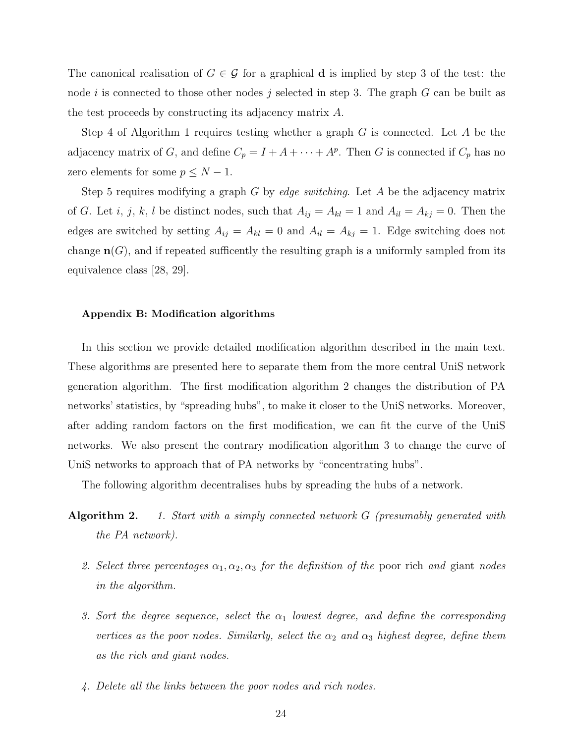The canonical realisation of  $G \in \mathcal{G}$  for a graphical **d** is implied by step 3 of the test: the node i is connected to those other nodes j selected in step 3. The graph  $G$  can be built as the test proceeds by constructing its adjacency matrix A.

Step 4 of Algorithm 1 requires testing whether a graph  $G$  is connected. Let  $A$  be the adjacency matrix of G, and define  $C_p = I + A + \cdots + A^p$ . Then G is connected if  $C_p$  has no zero elements for some  $p \leq N - 1$ .

Step 5 requires modifying a graph G by edge switching. Let A be the adjacency matrix of G. Let i, j, k, l be distinct nodes, such that  $A_{ij} = A_{kl} = 1$  and  $A_{il} = A_{kj} = 0$ . Then the edges are switched by setting  $A_{ij} = A_{kl} = 0$  and  $A_{il} = A_{kj} = 1$ . Edge switching does not change  $\mathbf{n}(G)$ , and if repeated sufficently the resulting graph is a uniformly sampled from its equivalence class [28, 29].

#### Appendix B: Modification algorithms

In this section we provide detailed modification algorithm described in the main text. These algorithms are presented here to separate them from the more central UniS network generation algorithm. The first modification algorithm 2 changes the distribution of PA networks' statistics, by "spreading hubs", to make it closer to the UniS networks. Moreover, after adding random factors on the first modification, we can fit the curve of the UniS networks. We also present the contrary modification algorithm 3 to change the curve of UniS networks to approach that of PA networks by "concentrating hubs".

The following algorithm decentralises hubs by spreading the hubs of a network.

- **Algorithm 2.** 1. Start with a simply connected network  $G$  (presumably generated with the PA network).
	- 2. Select three percentages  $\alpha_1, \alpha_2, \alpha_3$  for the definition of the poor rich and giant nodes in the algorithm.
	- 3. Sort the degree sequence, select the  $\alpha_1$  lowest degree, and define the corresponding vertices as the poor nodes. Similarly, select the  $\alpha_2$  and  $\alpha_3$  highest degree, define them as the rich and giant nodes.
	- 4. Delete all the links between the poor nodes and rich nodes.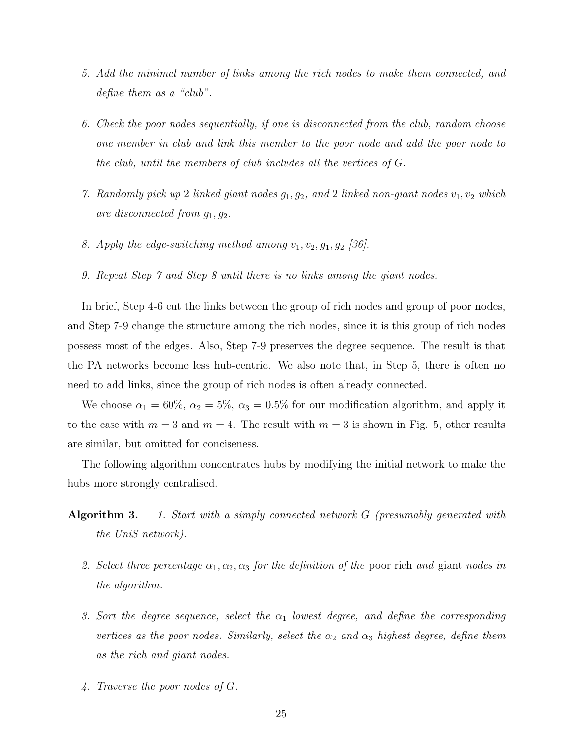- 5. Add the minimal number of links among the rich nodes to make them connected, and define them as a "club".
- 6. Check the poor nodes sequentially, if one is disconnected from the club, random choose one member in club and link this member to the poor node and add the poor node to the club, until the members of club includes all the vertices of G.
- 7. Randomly pick up 2 linked giant nodes  $g_1, g_2$ , and 2 linked non-giant nodes  $v_1, v_2$  which are disconnected from  $g_1, g_2$ .
- 8. Apply the edge-switching method among  $v_1, v_2, g_1, g_2$  [36].
- 9. Repeat Step 7 and Step 8 until there is no links among the giant nodes.

In brief, Step 4-6 cut the links between the group of rich nodes and group of poor nodes, and Step 7-9 change the structure among the rich nodes, since it is this group of rich nodes possess most of the edges. Also, Step 7-9 preserves the degree sequence. The result is that the PA networks become less hub-centric. We also note that, in Step 5, there is often no need to add links, since the group of rich nodes is often already connected.

We choose  $\alpha_1 = 60\%, \alpha_2 = 5\%, \alpha_3 = 0.5\%$  for our modification algorithm, and apply it to the case with  $m = 3$  and  $m = 4$ . The result with  $m = 3$  is shown in Fig. 5, other results are similar, but omitted for conciseness.

The following algorithm concentrates hubs by modifying the initial network to make the hubs more strongly centralised.

- Algorithm 3. 1. Start with a simply connected network G (presumably generated with the UniS network).
	- 2. Select three percentage  $\alpha_1, \alpha_2, \alpha_3$  for the definition of the poor rich and giant nodes in the algorithm.
	- 3. Sort the degree sequence, select the  $\alpha_1$  lowest degree, and define the corresponding vertices as the poor nodes. Similarly, select the  $\alpha_2$  and  $\alpha_3$  highest degree, define them as the rich and giant nodes.
	- 4. Traverse the poor nodes of G.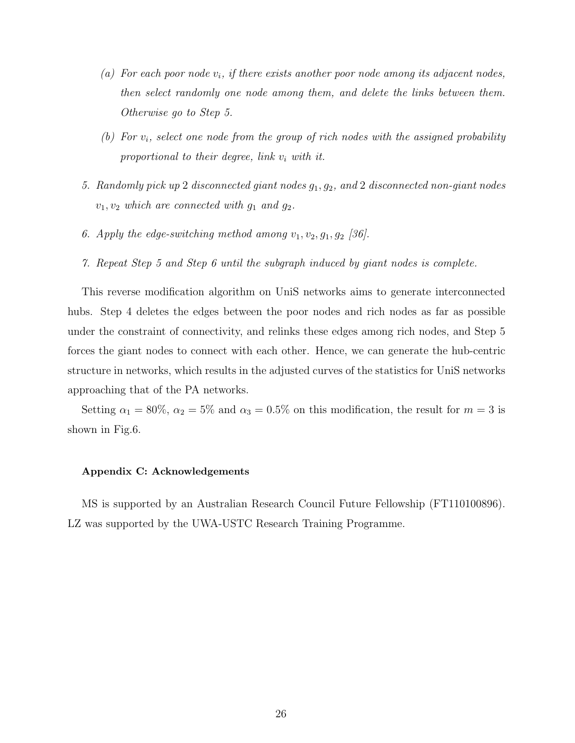- (a) For each poor node  $v_i$ , if there exists another poor node among its adjacent nodes, then select randomly one node among them, and delete the links between them. Otherwise go to Step 5.
- (b) For  $v_i$ , select one node from the group of rich nodes with the assigned probability proportional to their degree, link  $v_i$  with it.
- 5. Randomly pick up 2 disconnected giant nodes  $g_1, g_2$ , and 2 disconnected non-giant nodes  $v_1, v_2$  which are connected with  $g_1$  and  $g_2$ .
- 6. Apply the edge-switching method among  $v_1, v_2, g_1, g_2$  [36].
- 7. Repeat Step 5 and Step 6 until the subgraph induced by giant nodes is complete.

This reverse modification algorithm on UniS networks aims to generate interconnected hubs. Step 4 deletes the edges between the poor nodes and rich nodes as far as possible under the constraint of connectivity, and relinks these edges among rich nodes, and Step 5 forces the giant nodes to connect with each other. Hence, we can generate the hub-centric structure in networks, which results in the adjusted curves of the statistics for UniS networks approaching that of the PA networks.

Setting  $\alpha_1 = 80\%$ ,  $\alpha_2 = 5\%$  and  $\alpha_3 = 0.5\%$  on this modification, the result for  $m = 3$  is shown in Fig.6.

## Appendix C: Acknowledgements

MS is supported by an Australian Research Council Future Fellowship (FT110100896). LZ was supported by the UWA-USTC Research Training Programme.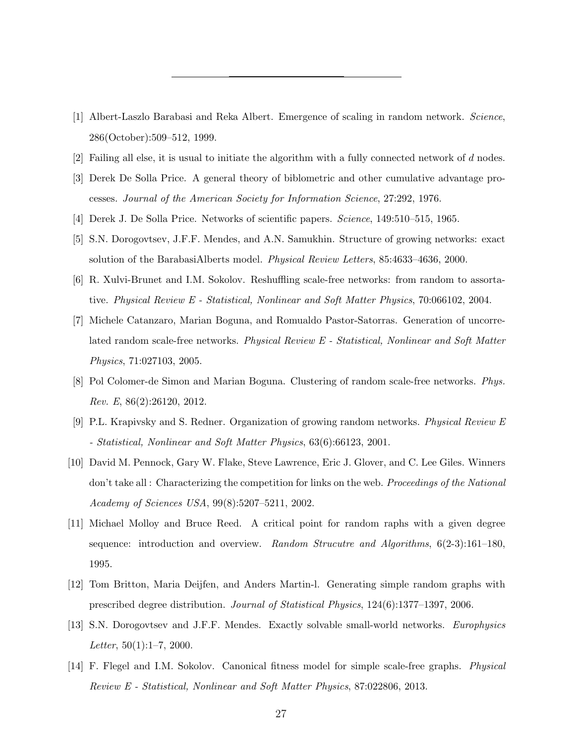- [1] Albert-Laszlo Barabasi and Reka Albert. Emergence of scaling in random network. Science, 286(October):509–512, 1999.
- [2] Failing all else, it is usual to initiate the algorithm with a fully connected network of  $d$  nodes.
- [3] Derek De Solla Price. A general theory of biblometric and other cumulative advantage processes. Journal of the American Society for Information Science, 27:292, 1976.
- [4] Derek J. De Solla Price. Networks of scientific papers. Science, 149:510–515, 1965.
- [5] S.N. Dorogovtsev, J.F.F. Mendes, and A.N. Samukhin. Structure of growing networks: exact solution of the BarabasiAlberts model. Physical Review Letters, 85:4633–4636, 2000.
- [6] R. Xulvi-Brunet and I.M. Sokolov. Reshuffling scale-free networks: from random to assortative. Physical Review E - Statistical, Nonlinear and Soft Matter Physics, 70:066102, 2004.
- [7] Michele Catanzaro, Marian Boguna, and Romualdo Pastor-Satorras. Generation of uncorrelated random scale-free networks. Physical Review E - Statistical, Nonlinear and Soft Matter Physics, 71:027103, 2005.
- [8] Pol Colomer-de Simon and Marian Boguna. Clustering of random scale-free networks. Phys. Rev. E, 86(2):26120, 2012.
- [9] P.L. Krapivsky and S. Redner. Organization of growing random networks. Physical Review E - Statistical, Nonlinear and Soft Matter Physics, 63(6):66123, 2001.
- [10] David M. Pennock, Gary W. Flake, Steve Lawrence, Eric J. Glover, and C. Lee Giles. Winners don't take all : Characterizing the competition for links on the web. Proceedings of the National Academy of Sciences USA, 99(8):5207–5211, 2002.
- [11] Michael Molloy and Bruce Reed. A critical point for random raphs with a given degree sequence: introduction and overview. Random Strucutre and Algorithms, 6(2-3):161–180, 1995.
- [12] Tom Britton, Maria Deijfen, and Anders Martin-l. Generating simple random graphs with prescribed degree distribution. Journal of Statistical Physics, 124(6):1377–1397, 2006.
- [13] S.N. Dorogovtsev and J.F.F. Mendes. Exactly solvable small-world networks. Europhysics Letter,  $50(1):1-7$ , 2000.
- [14] F. Flegel and I.M. Sokolov. Canonical fitness model for simple scale-free graphs. Physical Review E - Statistical, Nonlinear and Soft Matter Physics, 87:022806, 2013.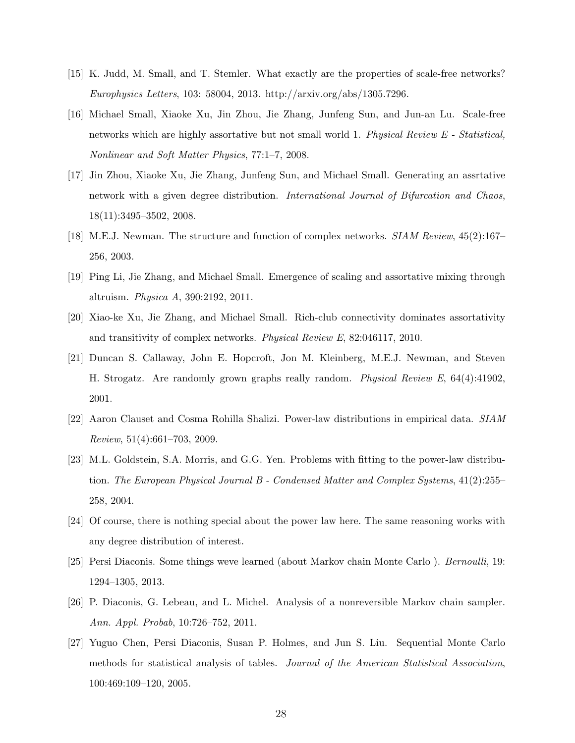- [15] K. Judd, M. Small, and T. Stemler. What exactly are the properties of scale-free networks? Europhysics Letters, 103: 58004, 2013. http://arxiv.org/abs/1305.7296.
- [16] Michael Small, Xiaoke Xu, Jin Zhou, Jie Zhang, Junfeng Sun, and Jun-an Lu. Scale-free networks which are highly assortative but not small world 1. Physical Review E - Statistical, Nonlinear and Soft Matter Physics, 77:1–7, 2008.
- [17] Jin Zhou, Xiaoke Xu, Jie Zhang, Junfeng Sun, and Michael Small. Generating an assrtative network with a given degree distribution. International Journal of Bifurcation and Chaos, 18(11):3495–3502, 2008.
- [18] M.E.J. Newman. The structure and function of complex networks. SIAM Review, 45(2):167– 256, 2003.
- [19] Ping Li, Jie Zhang, and Michael Small. Emergence of scaling and assortative mixing through altruism. Physica A, 390:2192, 2011.
- [20] Xiao-ke Xu, Jie Zhang, and Michael Small. Rich-club connectivity dominates assortativity and transitivity of complex networks. Physical Review E, 82:046117, 2010.
- [21] Duncan S. Callaway, John E. Hopcroft, Jon M. Kleinberg, M.E.J. Newman, and Steven H. Strogatz. Are randomly grown graphs really random. Physical Review E, 64(4):41902, 2001.
- [22] Aaron Clauset and Cosma Rohilla Shalizi. Power-law distributions in empirical data. SIAM Review, 51(4):661–703, 2009.
- [23] M.L. Goldstein, S.A. Morris, and G.G. Yen. Problems with fitting to the power-law distribution. The European Physical Journal B - Condensed Matter and Complex Systems, 41(2):255– 258, 2004.
- [24] Of course, there is nothing special about the power law here. The same reasoning works with any degree distribution of interest.
- [25] Persi Diaconis. Some things weve learned (about Markov chain Monte Carlo ). Bernoulli, 19: 1294–1305, 2013.
- [26] P. Diaconis, G. Lebeau, and L. Michel. Analysis of a nonreversible Markov chain sampler. Ann. Appl. Probab, 10:726–752, 2011.
- [27] Yuguo Chen, Persi Diaconis, Susan P. Holmes, and Jun S. Liu. Sequential Monte Carlo methods for statistical analysis of tables. Journal of the American Statistical Association, 100:469:109–120, 2005.